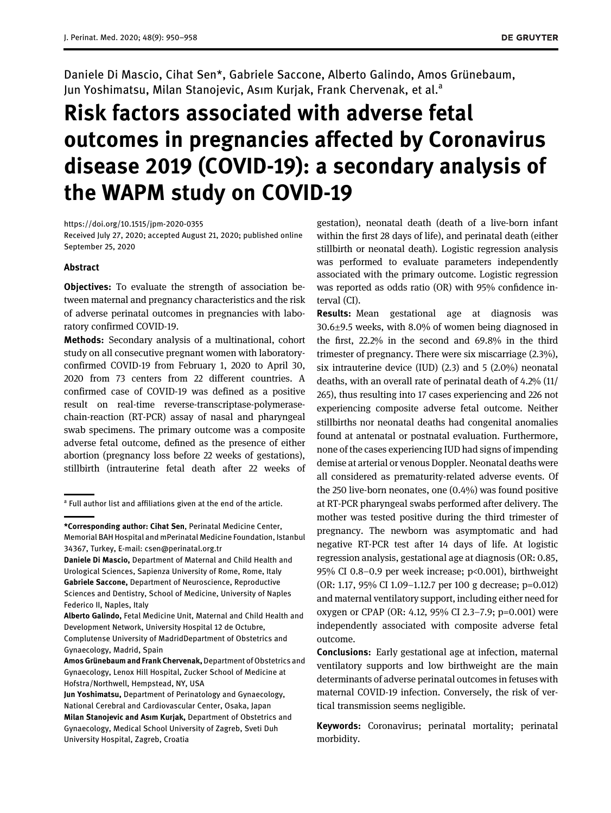Daniele Di Mascio, Cihat Sen\*, Gabriele Saccone, Alberto Galindo, Amos Grünebaum, Jun Yoshimatsu, Milan Stanojevic, Asım Kurjak, Frank Chervenak, et al.<sup>a</sup>

# Risk factors associated with adverse fetal outcomes in pregnancies affected by Coronavirus disease 2019 (COVID-19): a secondary analysis of the WAPM study on COVID-19

<https://doi.org/10.1515/jpm-2020-0355>

Received July 27, 2020; accepted August 21, 2020; published online September 25, 2020

#### Abstract

**Objectives:** To evaluate the strength of association between maternal and pregnancy characteristics and the risk of adverse perinatal outcomes in pregnancies with laboratory confirmed COVID-19.

Methods: Secondary analysis of a multinational, cohort study on all consecutive pregnant women with laboratoryconfirmed COVID-19 from February 1, 2020 to April 30, 2020 from 73 centers from 22 different countries. A confirmed case of COVID-19 was defined as a positive result on real-time reverse-transcriptase-polymerasechain-reaction (RT-PCR) assay of nasal and pharyngeal swab specimens. The primary outcome was a composite adverse fetal outcome, defined as the presence of either abortion (pregnancy loss before 22 weeks of gestations), stillbirth (intrauterine fetal death after 22 weeks of

gestation), neonatal death (death of a live-born infant within the first 28 days of life), and perinatal death (either stillbirth or neonatal death). Logistic regression analysis was performed to evaluate parameters independently associated with the primary outcome. Logistic regression was reported as odds ratio (OR) with 95% confidence interval (CI).

Results: Mean gestational age at diagnosis was 30.6±9.5 weeks, with 8.0% of women being diagnosed in the first, 22.2% in the second and 69.8% in the third trimester of pregnancy. There were six miscarriage (2.3%), six intrauterine device (IUD) (2.3) and 5 (2.0%) neonatal deaths, with an overall rate of perinatal death of 4.2% (11/ 265), thus resulting into 17 cases experiencing and 226 not experiencing composite adverse fetal outcome. Neither stillbirths nor neonatal deaths had congenital anomalies found at antenatal or postnatal evaluation. Furthermore, none of the cases experiencing IUD had signs of impending demise at arterial or venous Doppler. Neonatal deaths were all considered as prematurity-related adverse events. Of the 250 live-born neonates, one (0.4%) was found positive at RT-PCR pharyngeal swabs performed after delivery. The mother was tested positive during the third trimester of pregnancy. The newborn was asymptomatic and had negative RT-PCR test after 14 days of life. At logistic regression analysis, gestational age at diagnosis (OR: 0.85, 95% CI 0.8–0.9 per week increase; p<0.001), birthweight (OR: 1.17, 95% CI 1.09–1.12.7 per 100 g decrease; p=0.012) and maternal ventilatory support, including either need for oxygen or CPAP (OR: 4.12, 95% CI 2.3–7.9; p=0.001) were independently associated with composite adverse fetal outcome.

Conclusions: Early gestational age at infection, maternal ventilatory supports and low birthweight are the main determinants of adverse perinatal outcomes in fetuses with maternal COVID-19 infection. Conversely, the risk of vertical transmission seems negligible.

Keywords: Coronavirus; perinatal mortality; perinatal morbidity.

<sup>&</sup>lt;sup>a</sup> Full author list and affiliations given at the end of the article.

<sup>\*</sup>Corresponding author: Cihat Sen, Perinatal Medicine Center, Memorial BAH Hospital and mPerinatal Medicine Foundation, Istanbul 34367, Turkey, E-mail: [csen@perinatal.org.tr](mailto:csen@perinatal.org.tr)

Daniele Di Mascio, Department of Maternal and Child Health and Urological Sciences, Sapienza University of Rome, Rome, Italy Gabriele Saccone, Department of Neuroscience, Reproductive Sciences and Dentistry, School of Medicine, University of Naples Federico II, Naples, Italy

Alberto Galindo, Fetal Medicine Unit, Maternal and Child Health and Development Network, University Hospital 12 de Octubre, Complutense University of MadridDepartment of Obstetrics and Gynaecology, Madrid, Spain

Amos Grünebaum and Frank Chervenak, Department of Obstetrics and Gynaecology, Lenox Hill Hospital, Zucker School of Medicine at Hofstra/Northwell, Hempstead, NY, USA

Jun Yoshimatsu, Department of Perinatology and Gynaecology, National Cerebral and Cardiovascular Center, Osaka, Japan Milan Stanojevic and Asım Kurjak, Department of Obstetrics and Gynaecology, Medical School University of Zagreb, Sveti Duh University Hospital, Zagreb, Croatia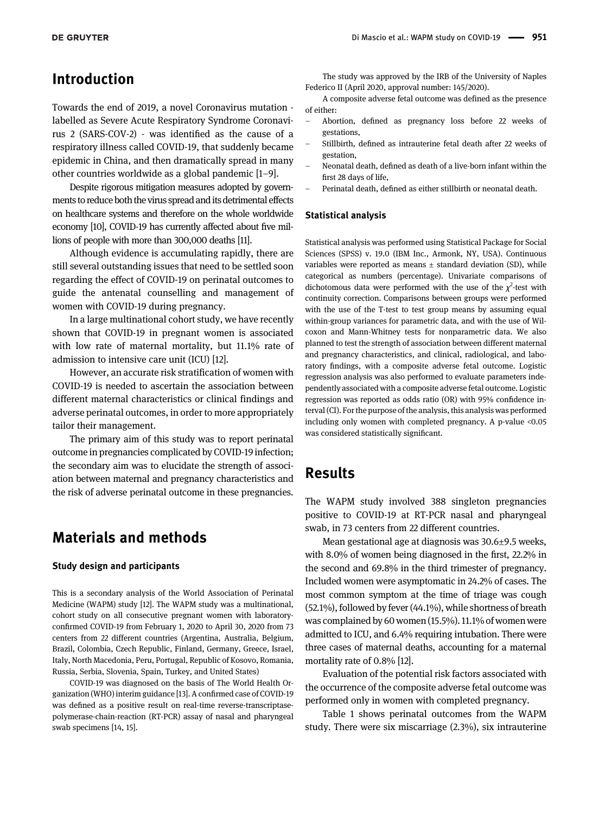## Introduction

Towards the end of 2019, a novel Coronavirus mutation labelled as Severe Acute Respiratory Syndrome Coronavirus 2 (SARS-COV-2) - was identified as the cause of a respiratory illness called COVID-19, that suddenly became epidemic in China, and then dramatically spread in many other countries worldwide as a global pandemic [1[–](#page-4-0)9].

Despite rigorous mitigation measures adopted by governments to reduce both the virus spread andits detrimental effects on healthcare systems and therefore on the whole worldwide economy [[10](#page-4-1)], COVID-19 has currently affected about five millions of people with more than 300,000 deaths [\[11](#page-4-2)].

Although evidence is accumulating rapidly, there are still several outstanding issues that need to be settled soon regarding the effect of COVID-19 on perinatal outcomes to guide the antenatal counselling and management of women with COVID-19 during pregnancy.

In a large multinational cohort study, we have recently shown that COVID-19 in pregnant women is associated with low rate of maternal mortality, but 11.1% rate of admission to intensive care unit (ICU) [[12\]](#page-4-3).

However, an accurate risk stratification of women with COVID-19 is needed to ascertain the association between different maternal characteristics or clinical findings and adverse perinatal outcomes, in order to more appropriately tailor their management.

The primary aim of this study was to report perinatal outcome in pregnancies complicated by COVID-19 infection; the secondary aim was to elucidate the strength of association between maternal and pregnancy characteristics and the risk of adverse perinatal outcome in these pregnancies.

## Materials and methods

#### Study design and participants

This is a secondary analysis of the World Association of Perinatal Medicine (WAPM) study [\[12\]](#page-4-3). The WAPM study was a multinational, cohort study on all consecutive pregnant women with laboratoryconfirmed COVID-19 from February 1, 2020 to April 30, 2020 from 73 centers from 22 different countries (Argentina, Australia, Belgium, Brazil, Colombia, Czech Republic, Finland, Germany, Greece, Israel, Italy, North Macedonia, Peru, Portugal, Republic of Kosovo, Romania, Russia, Serbia, Slovenia, Spain, Turkey, and United States)

COVID-19 was diagnosed on the basis of The World Health Organization (WHO) interim guidance [\[13](#page-4-4)]. A confirmed case of COVID-19 was defined as a positive result on real-time reverse-transcriptasepolymerase-chain-reaction (RT-PCR) assay of nasal and pharyngeal swab specimens [\[14, 15\]](#page-4-5).

The study was approved by the IRB of the University of Naples Federico II (April 2020, approval number: 145/2020).

A composite adverse fetal outcome was defined as the presence of either:

- Abortion, defined as pregnancy loss before 22 weeks of gestations,
- Stillbirth, defined as intrauterine fetal death after 22 weeks of gestation,
- Neonatal death, defined as death of a live-born infant within the first 28 days of life,
- Perinatal death, defined as either stillbirth or neonatal death.

#### Statistical analysis

Statistical analysis was performed using Statistical Package for Social Sciences (SPSS) v. 19.0 (IBM Inc., Armonk, NY, USA). Continuous variables were reported as means  $\pm$  standard deviation (SD), while categorical as numbers (percentage). Univariate comparisons of dichotomous data were performed with the use of the  $\chi^2$ -test with continuity correction. Comparisons between groups were performed with the use of the T-test to test group means by assuming equal within-group variances for parametric data, and with the use of Wilcoxon and Mann-Whitney tests for nonparametric data. We also planned to test the strength of association between different maternal and pregnancy characteristics, and clinical, radiological, and laboratory findings, with a composite adverse fetal outcome. Logistic regression analysis was also performed to evaluate parameters independently associated with a composite adverse fetal outcome. Logistic regression was reported as odds ratio (OR) with 95% confidence interval (CI). For the purpose of the analysis, this analysis was performed including only women with completed pregnancy. A p-value <0.05 was considered statistically significant.

## Results

The WAPM study involved 388 singleton pregnancies positive to COVID-19 at RT-PCR nasal and pharyngeal swab, in 73 centers from 22 different countries.

Mean gestational age at diagnosis was 30.6±9.5 weeks, with 8.0% of women being diagnosed in the first, 22.2% in the second and 69.8% in the third trimester of pregnancy. Included women were asymptomatic in 24.2% of cases. The most common symptom at the time of triage was cough (52.1%), followed by fever (44.1%), while shortness of breath was complained by 60 women (15.5%). 11.1% of women were admitted to ICU, and 6.4% requiring intubation. There were three cases of maternal deaths, accounting for a maternal mortality rate of 0.8% [\[12](#page-4-3)].

Evaluation of the potential risk factors associated with the occurrence of the composite adverse fetal outcome was performed only in women with completed pregnancy.

[Table 1](#page-2-0) shows perinatal outcomes from the WAPM study. There were six miscarriage (2.3%), six intrauterine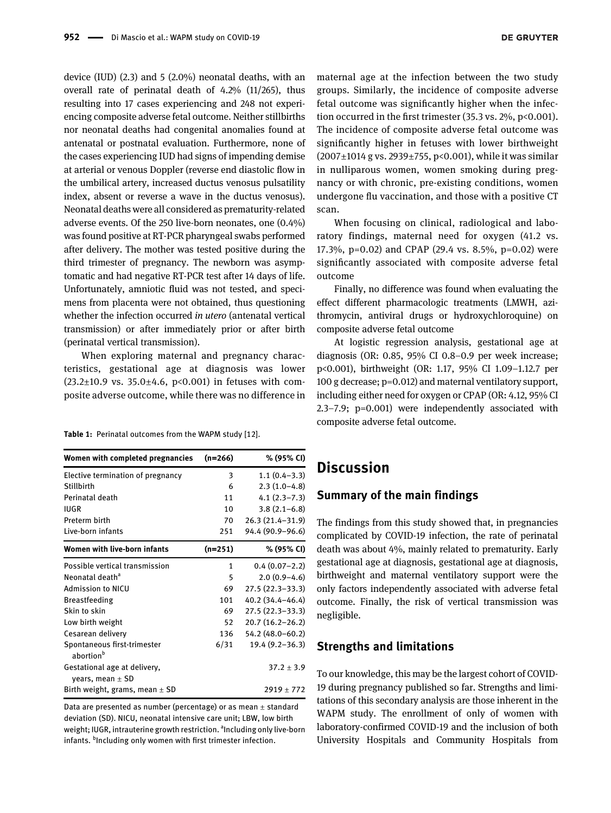device (IUD) (2.3) and 5 (2.0%) neonatal deaths, with an overall rate of perinatal death of 4.2% (11/265), thus resulting into 17 cases experiencing and 248 not experiencing composite adverse fetal outcome. Neither stillbirths nor neonatal deaths had congenital anomalies found at antenatal or postnatal evaluation. Furthermore, none of the cases experiencing IUD had signs of impending demise at arterial or venous Doppler (reverse end diastolic flow in the umbilical artery, increased ductus venosus pulsatility index, absent or reverse a wave in the ductus venosus). Neonatal deaths were all considered as prematurity-related adverse events. Of the 250 live-born neonates, one (0.4%) was found positive at RT-PCR pharyngeal swabs performed after delivery. The mother was tested positive during the third trimester of pregnancy. The newborn was asymptomatic and had negative RT-PCR test after 14 days of life. Unfortunately, amniotic fluid was not tested, and specimens from placenta were not obtained, thus questioning whether the infection occurred in utero (antenatal vertical transmission) or after immediately prior or after birth (perinatal vertical transmission).

When exploring maternal and pregnancy characteristics, gestational age at diagnosis was lower (23.2 $\pm$ 10.9 vs. 35.0 $\pm$ 4.6, p<0.001) in fetuses with composite adverse outcome, while there was no difference in

<span id="page-2-0"></span>Table 1: Perinatal outcomes from the WAPM study [12].

| Women with completed pregnancies                     | $(n=266)$ | % (95% CI)          |
|------------------------------------------------------|-----------|---------------------|
| Elective termination of pregnancy                    | 3         | $1.1(0.4-3.3)$      |
| Stillbirth                                           | 6         | $2.3(1.0-4.8)$      |
| Perinatal death                                      | 11        | $4.1(2.3 - 7.3)$    |
| IUGR                                                 | 10        | $3.8(2.1-6.8)$      |
| Preterm birth                                        | 70        | 26.3 (21.4-31.9)    |
| Live-born infants                                    | 251       | 94.4 (90.9-96.6)    |
| Women with live-born infants                         | $(n=251)$ | % (95% CI)          |
| Possible vertical transmission                       | 1         | $0.4(0.07-2.2)$     |
| Neonatal death <sup>a</sup>                          | 5         | $2.0(0.9-4.6)$      |
| Admission to NICU                                    | 69        | 27.5 (22.3–33.3)    |
| <b>Breastfeeding</b>                                 | 101       | 40.2 (34.4-46.4)    |
| Skin to skin                                         | 69        | 27.5 (22.3–33.3)    |
| Low birth weight                                     | 52        | $20.7(16.2 - 26.2)$ |
| Cesarean delivery                                    | 136       | 54.2 (48.0–60.2)    |
| Spontaneous first-trimester<br>abortion <sup>b</sup> | 6/31      | $19.4(9.2 - 36.3)$  |
| Gestational age at delivery,<br>years, mean $\pm$ SD |           | $37.2 \pm 3.9$      |
| Birth weight, grams, mean $\pm$ SD                   |           | $2919 \pm 772$      |

Data are presented as number (percentage) or as mean  $\pm$  standard deviation (SD). NICU, neonatal intensive care unit; LBW, low birth weight; IUGR, intrauterine growth restriction. <sup>a</sup>Including only live-born infants. <sup>b</sup>Including only women with first trimester infection.

maternal age at the infection between the two study groups. Similarly, the incidence of composite adverse fetal outcome was significantly higher when the infection occurred in the first trimester (35.3 vs. 2%, p<0.001). The incidence of composite adverse fetal outcome was significantly higher in fetuses with lower birthweight (2007±1014 g vs. 2939±755, p<0.001), while it was similar in nulliparous women, women smoking during pregnancy or with chronic, pre-existing conditions, women undergone flu vaccination, and those with a positive CT scan.

When focusing on clinical, radiological and laboratory findings, maternal need for oxygen (41.2 vs. 17.3%, p=0.02) and CPAP (29.4 vs. 8.5%, p=0.02) were significantly associated with composite adverse fetal outcome

Finally, no difference was found when evaluating the effect different pharmacologic treatments (LMWH, azithromycin, antiviral drugs or hydroxychloroquine) on composite adverse fetal outcome

At logistic regression analysis, gestational age at diagnosis (OR: 0.85, 95% CI 0.8–0.9 per week increase; p<0.001), birthweight (OR: 1.17, 95% CI 1.09–1.12.7 per 100 g decrease; p=0.012) and maternal ventilatory support, including either need for oxygen or CPAP (OR: 4.12, 95% CI 2.3–7.9; p=0.001) were independently associated with composite adverse fetal outcome.

## **Discussion**

## Summary of the main findings

The findings from this study showed that, in pregnancies complicated by COVID-19 infection, the rate of perinatal death was about 4%, mainly related to prematurity. Early gestational age at diagnosis, gestational age at diagnosis, birthweight and maternal ventilatory support were the only factors independently associated with adverse fetal outcome. Finally, the risk of vertical transmission was negligible.

### Strengths and limitations

To our knowledge, this may be the largest cohort of COVID-19 during pregnancy published so far. Strengths and limitations of this secondary analysis are those inherent in the WAPM study. The enrollment of only of women with laboratory-confirmed COVID-19 and the inclusion of both University Hospitals and Community Hospitals from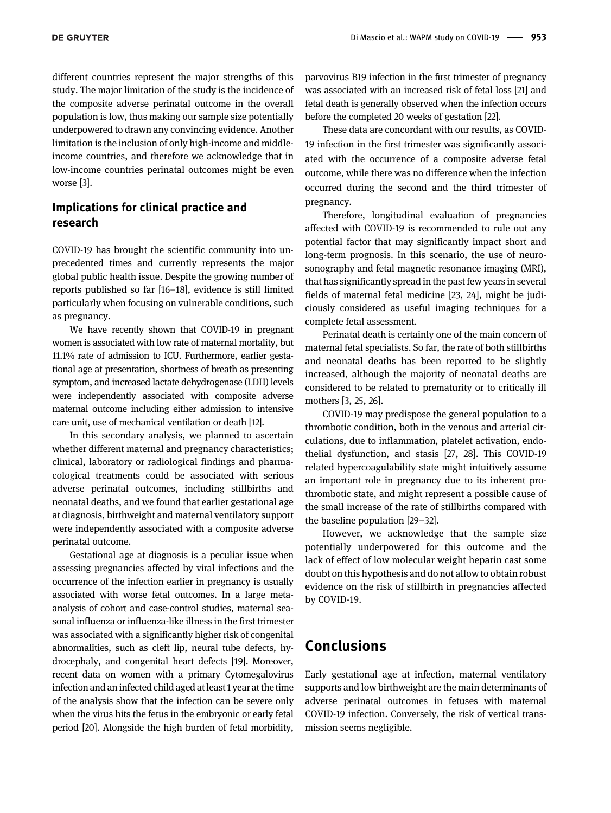different countries represent the major strengths of this study. The major limitation of the study is the incidence of the composite adverse perinatal outcome in the overall population is low, thus making our sample size potentially underpowered to drawn any convincing evidence. Another limitation is the inclusion of only high-income and middleincome countries, and therefore we acknowledge that in low-income countries perinatal outcomes might be even worse [\[3\]](#page-4-6).

## Implications for clinical practice and research

COVID-19 has brought the scientific community into unprecedented times and currently represents the major global public health issue. Despite the growing number of reports published so far [\[16](#page-4-7)–18], evidence is still limited particularly when focusing on vulnerable conditions, such as pregnancy.

We have recently shown that COVID-19 in pregnant women is associated with low rate of maternal mortality, but 11.1% rate of admission to ICU. Furthermore, earlier gestational age at presentation, shortness of breath as presenting symptom, and increased lactate dehydrogenase (LDH) levels were independently associated with composite adverse maternal outcome including either admission to intensive care unit, use of mechanical ventilation or death [\[12\]](#page-4-3).

In this secondary analysis, we planned to ascertain whether different maternal and pregnancy characteristics; clinical, laboratory or radiological findings and pharmacological treatments could be associated with serious adverse perinatal outcomes, including stillbirths and neonatal deaths, and we found that earlier gestational age at diagnosis, birthweight and maternal ventilatory support were independently associated with a composite adverse perinatal outcome.

Gestational age at diagnosis is a peculiar issue when assessing pregnancies affected by viral infections and the occurrence of the infection earlier in pregnancy is usually associated with worse fetal outcomes. In a large metaanalysis of cohort and case-control studies, maternal seasonal influenza or influenza-like illness in the first trimester was associated with a significantly higher risk of congenital abnormalities, such as cleft lip, neural tube defects, hydrocephaly, and congenital heart defects [\[19\]](#page-4-8). Moreover, recent data on women with a primary Cytomegalovirus infection and an infected child aged at least 1 year at the time of the analysis show that the infection can be severe only when the virus hits the fetus in the embryonic or early fetal period [[20](#page-4-9)]. Alongside the high burden of fetal morbidity,

parvovirus B19 infection in the first trimester of pregnancy was associated with an increased risk of fetal loss [\[21](#page-4-10)] and fetal death is generally observed when the infection occurs before the completed 20 weeks of gestation [\[22](#page-4-11)].

These data are concordant with our results, as COVID-19 infection in the first trimester was significantly associated with the occurrence of a composite adverse fetal outcome, while there was no difference when the infection occurred during the second and the third trimester of pregnancy.

Therefore, longitudinal evaluation of pregnancies affected with COVID-19 is recommended to rule out any potential factor that may significantly impact short and long‐term prognosis. In this scenario, the use of neurosonography and fetal magnetic resonance imaging (MRI), that has significantly spread in the past few years in several fields of maternal fetal medicine [\[23, 24](#page-4-12)], might be judiciously considered as useful imaging techniques for a complete fetal assessment.

Perinatal death is certainly one of the main concern of maternal fetal specialists. So far, the rate of both stillbirths and neonatal deaths has been reported to be slightly increased, although the majority of neonatal deaths are considered to be related to prematurity or to critically ill mothers [[3, 25, 26\]](#page-4-6).

COVID-19 may predispose the general population to a thrombotic condition, both in the venous and arterial circulations, due to inflammation, platelet activation, endothelial dysfunction, and stasis [[27, 28](#page-5-0)]. This COVID-19 related hypercoagulability state might intuitively assume an important role in pregnancy due to its inherent prothrombotic state, and might represent a possible cause of the small increase of the rate of stillbirths compared with the baseline population [\[29](#page-5-1)–32].

However, we acknowledge that the sample size potentially underpowered for this outcome and the lack of effect of low molecular weight heparin cast some doubt on this hypothesis and do not allow to obtain robust evidence on the risk of stillbirth in pregnancies affected by COVID-19.

# Conclusions

Early gestational age at infection, maternal ventilatory supports and low birthweight are the main determinants of adverse perinatal outcomes in fetuses with maternal COVID-19 infection. Conversely, the risk of vertical transmission seems negligible.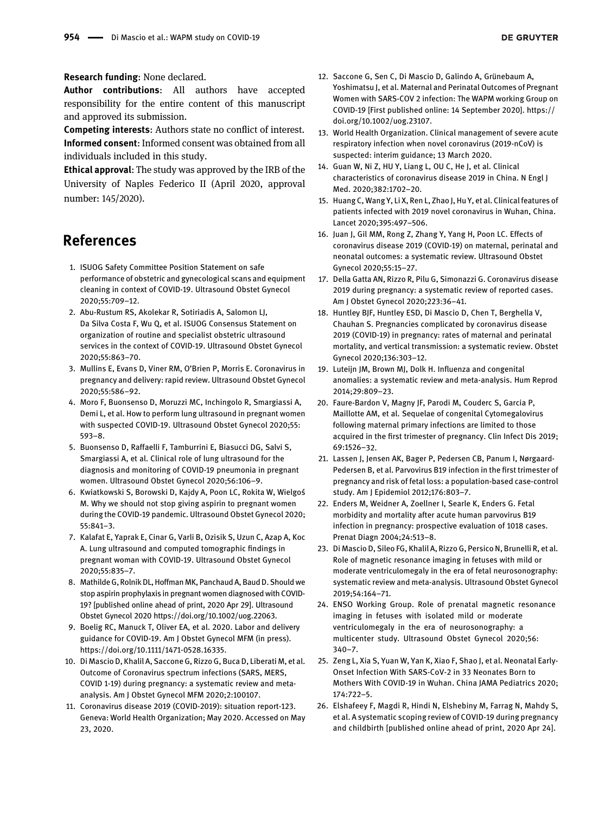#### Research funding: None declared.

Author contributions: All authors have accepted responsibility for the entire content of this manuscript and approved its submission.

Competing interests: Authors state no conflict of interest. Informed consent: Informed consent was obtained from all individuals included in this study.

Ethical approval: The study was approved by the IRB of the University of Naples Federico II (April 2020, approval number: 145/2020).

# References

- <span id="page-4-0"></span>1. ISUOG Safety Committee Position Statement on safe performance of obstetric and gynecological scans and equipment cleaning in context of COVID-19. Ultrasound Obstet Gynecol 2020;55:709–12.
- 2. Abu-Rustum RS, Akolekar R, Sotiriadis A, Salomon LJ, Da Silva Costa F, Wu Q, et al. ISUOG Consensus Statement on organization of routine and specialist obstetric ultrasound services in the context of COVID-19. Ultrasound Obstet Gynecol 2020;55:863–70.
- <span id="page-4-6"></span>3. Mullins E, Evans D, Viner RM, O'Brien P, Morris E. Coronavirus in pregnancy and delivery: rapid review. Ultrasound Obstet Gynecol 2020;55:586–92.
- 4. Moro F, Buonsenso D, Moruzzi MC, Inchingolo R, Smargiassi A, Demi L, et al. How to perform lung ultrasound in pregnant women with suspected COVID-19. Ultrasound Obstet Gynecol 2020;55: 593–8.
- 5. Buonsenso D, Raffaelli F, Tamburrini E, Biasucci DG, Salvi S, Smargiassi A, et al. Clinical role of lung ultrasound for the diagnosis and monitoring of COVID-19 pneumonia in pregnant women. Ultrasound Obstet Gynecol 2020;56:106–9.
- 6. Kwiatkowski S, Borowski D, Kajdy A, Poon LC, Rokita W, Wielgoś M. Why we should not stop giving aspirin to pregnant women during the COVID-19 pandemic. Ultrasound Obstet Gynecol 2020; 55:841–3.
- 7. Kalafat E, Yaprak E, Cinar G, Varli B, Ozisik S, Uzun C, Azap A, Koc A. Lung ultrasound and computed tomographic findings in pregnant woman with COVID-19. Ultrasound Obstet Gynecol 2020;55:835–7.
- 8. Mathilde G, Rolnik DL, Hoffman MK, Panchaud A, Baud D. Should we stop aspirin prophylaxis in pregnant women diagnosed with COVID-19? [published online ahead of print, 2020 Apr 29]. Ultrasound Obstet Gynecol 2020<https://doi.org/10.1002/uog.22063>.
- 9. Boelig RC, Manuck T, Oliver EA, et al. 2020. Labor and delivery guidance for COVID-19. Am J Obstet Gynecol MFM (in press). [https://doi.org/10.1111/1471-0528.16335.](https://doi.org/10.1111/1471-0528.16335)
- <span id="page-4-1"></span>10. Di Mascio D, Khalil A, Saccone G, Rizzo G, Buca D, Liberati M, et al. Outcome of Coronavirus spectrum infections (SARS, MERS, COVID 1-19) during pregnancy: a systematic review and metaanalysis. Am J Obstet Gynecol MFM 2020;2:100107.
- <span id="page-4-2"></span>11. Coronavirus disease 2019 (COVID-2019): situation report-123. Geneva: World Health Organization; May 2020. Accessed on May 23, 2020.
- <span id="page-4-3"></span>12. Saccone G, Sen C, Di Mascio D, Galindo A, Grünebaum A, Yoshimatsu J, et al. Maternal and Perinatal Outcomes of Pregnant Women with SARS-COV 2 infection: The WAPM working Group on COVID-19 [First published online: 14 September 2020]. [https://](https://doi.org/10.1002/uog.23107) [doi.org/10.1002/uog.23107.](https://doi.org/10.1002/uog.23107)
- <span id="page-4-4"></span>13. World Health Organization. Clinical management of severe acute respiratory infection when novel coronavirus (2019-nCoV) is suspected: interim guidance; 13 March 2020.
- <span id="page-4-5"></span>14. Guan W, Ni Z, HU Y, Liang L, OU C, He J, et al. Clinical characteristics of coronavirus disease 2019 in China. N Engl J Med. 2020;382:1702–20.
- 15. Huang C, Wang Y, Li X, Ren L, Zhao J, Hu Y, et al. Clinical features of patients infected with 2019 novel coronavirus in Wuhan, China. Lancet 2020;395:497–506.
- <span id="page-4-7"></span>16. Juan J, Gil MM, Rong Z, Zhang Y, Yang H, Poon LC. Effects of coronavirus disease 2019 (COVID-19) on maternal, perinatal and neonatal outcomes: a systematic review. Ultrasound Obstet Gynecol 2020;55:15–27.
- 17. Della Gatta AN, Rizzo R, Pilu G, Simonazzi G. Coronavirus disease 2019 during pregnancy: a systematic review of reported cases. Am J Obstet Gynecol 2020;223:36–41.
- 18. Huntley BJF, Huntley ESD, Di Mascio D, Chen T, Berghella V, Chauhan S. Pregnancies complicated by coronavirus disease 2019 (COVID-19) in pregnancy: rates of maternal and perinatal mortality, and vertical transmission: a systematic review. Obstet Gynecol 2020;136:303–12.
- <span id="page-4-8"></span>19. Luteijn JM, Brown MJ, Dolk H. Influenza and congenital anomalies: a systematic review and meta-analysis. Hum Reprod 2014;29:809–23.
- <span id="page-4-9"></span>20. Faure-Bardon V, Magny JF, Parodi M, Couderc S, Garcia P, Maillotte AM, et al. Sequelae of congenital Cytomegalovirus following maternal primary infections are limited to those acquired in the first trimester of pregnancy. Clin Infect Dis 2019; 69:1526–32.
- <span id="page-4-10"></span>21. Lassen J, Jensen AK, Bager P, Pedersen CB, Panum I, Nørgaard-Pedersen B, et al. Parvovirus B19 infection in the first trimester of pregnancy and risk of fetal loss: a population-based case-control study. Am J Epidemiol 2012;176:803–7.
- <span id="page-4-11"></span>22. Enders M, Weidner A, Zoellner I, Searle K, Enders G. Fetal morbidity and mortality after acute human parvovirus B19 infection in pregnancy: prospective evaluation of 1018 cases. Prenat Diagn 2004;24:513–8.
- <span id="page-4-12"></span>23. Di Mascio D, Sileo FG, Khalil A, Rizzo G, Persico N, Brunelli R, et al. Role of magnetic resonance imaging in fetuses with mild or moderate ventriculomegaly in the era of fetal neurosonography: systematic review and meta-analysis. Ultrasound Obstet Gynecol 2019;54:164–71.
- 24. ENSO Working Group. Role of prenatal magnetic resonance imaging in fetuses with isolated mild or moderate ventriculomegaly in the era of neurosonography: a multicenter study. Ultrasound Obstet Gynecol 2020;56: 340–7.
- 25. Zeng L, Xia S, Yuan W, Yan K, Xiao F, Shao J, et al. Neonatal Early-Onset Infection With SARS-CoV-2 in 33 Neonates Born to Mothers With COVID-19 in Wuhan. China JAMA Pediatrics 2020; 174:722–5.
- 26. Elshafeey F, Magdi R, Hindi N, Elshebiny M, Farrag N, Mahdy S, et al. A systematic scoping review of COVID-19 during pregnancy and childbirth [published online ahead of print, 2020 Apr 24].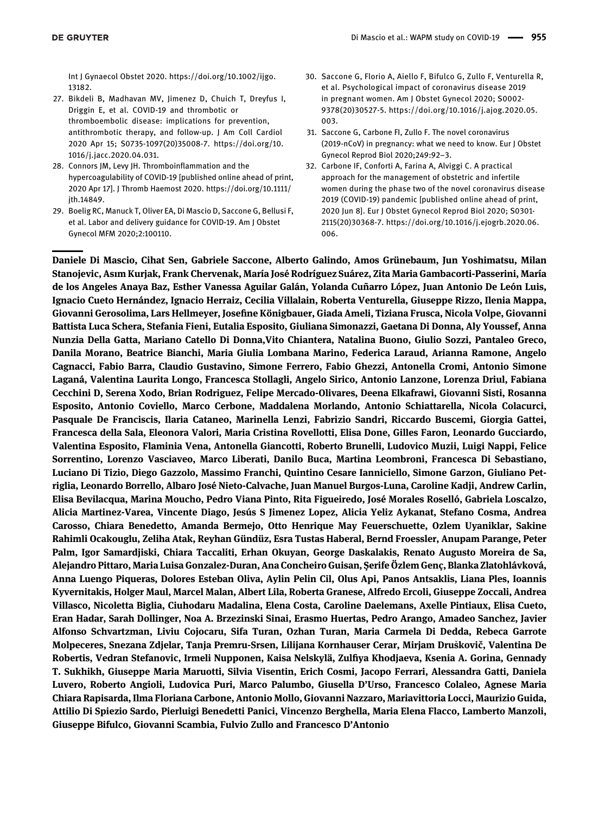Int J Gynaecol Obstet 2020. [https://doi.org/10.1002/ijgo.](https://doi.org/10.1002/ijgo.13182) [13182](https://doi.org/10.1002/ijgo.13182).

- <span id="page-5-0"></span>27. Bikdeli B, Madhavan MV, Jimenez D, Chuich T, Dreyfus I, Driggin E, et al. COVID-19 and thrombotic or thromboembolic disease: implications for prevention, antithrombotic therapy, and follow-up. J Am Coll Cardiol 2020 Apr 15; S0735-1097(20)35008-7. [https://doi.org/10.](https://doi.org/10.1016/j.jacc.2020.04.031) [1016/j.jacc.2020.04.031.](https://doi.org/10.1016/j.jacc.2020.04.031)
- 28. Connors JM, Levy JH. Thromboinflammation and the hypercoagulability of COVID-19 [published online ahead of print, 2020 Apr 17]. J Thromb Haemost 2020. [https://doi.org/10.1111/](https://doi.org/10.1111/jth.14849) [jth.14849.](https://doi.org/10.1111/jth.14849)
- <span id="page-5-1"></span>29. Boelig RC, Manuck T, Oliver EA, Di Mascio D, Saccone G, Bellusi F, et al. Labor and delivery guidance for COVID-19. Am J Obstet Gynecol MFM 2020;2:100110.
- 30. Saccone G, Florio A, Aiello F, Bifulco G, Zullo F, Venturella R, et al. Psychological impact of coronavirus disease 2019 in pregnant women. Am J Obstet Gynecol 2020; S0002- 9378(20)30527-5. [https://doi.org/10.1016/j.ajog.2020.05.](https://doi.org/10.1016/j.ajog.2020.05.003) [003](https://doi.org/10.1016/j.ajog.2020.05.003).
- 31. Saccone G, Carbone FI, Zullo F. The novel coronavirus (2019-nCoV) in pregnancy: what we need to know. Eur J Obstet Gynecol Reprod Biol 2020;249:92–3.
- 32. Carbone IF, Conforti A, Farina A, Alviggi C. A practical approach for the management of obstetric and infertile women during the phase two of the novel coronavirus disease 2019 (COVID-19) pandemic [published online ahead of print, 2020 Jun 8]. Eur J Obstet Gynecol Reprod Biol 2020; S0301- 2115(20)30368-7. [https://doi.org/10.1016/j.ejogrb.2020.06.](https://doi.org/10.1016/j.ejogrb.2020.06.006) [006](https://doi.org/10.1016/j.ejogrb.2020.06.006).

Daniele Di Mascio, Cihat Sen, Gabriele Saccone, Alberto Galindo, Amos Grünebaum, Jun Yoshimatsu, Milan Stanojevic, Asım Kurjak, Frank Chervenak, María José Rodríguez Suárez, Zita Maria Gambacorti-Passerini, María de los Angeles Anaya Baz, Esther Vanessa Aguilar Galán, Yolanda Cuñarro López, Juan Antonio De León Luis, Ignacio Cueto Hernández, Ignacio Herraiz, Cecilia Villalain, Roberta Venturella, Giuseppe Rizzo, Ilenia Mappa, Giovanni Gerosolima, Lars Hellmeyer, Josefine Königbauer, Giada Ameli, Tiziana Frusca, Nicola Volpe, Giovanni Battista Luca Schera, Stefania Fieni, Eutalia Esposito, Giuliana Simonazzi, Gaetana Di Donna, Aly Youssef, Anna Nunzia Della Gatta, Mariano Catello Di Donna,Vito Chiantera, Natalina Buono, Giulio Sozzi, Pantaleo Greco, Danila Morano, Beatrice Bianchi, Maria Giulia Lombana Marino, Federica Laraud, Arianna Ramone, Angelo Cagnacci, Fabio Barra, Claudio Gustavino, Simone Ferrero, Fabio Ghezzi, Antonella Cromi, Antonio Simone Laganá, Valentina Laurita Longo, Francesca Stollagli, Angelo Sirico, Antonio Lanzone, Lorenza Driul, Fabiana Cecchini D, Serena Xodo, Brian Rodriguez, Felipe Mercado-Olivares, Deena Elkafrawi, Giovanni Sisti, Rosanna Esposito, Antonio Coviello, Marco Cerbone, Maddalena Morlando, Antonio Schiattarella, Nicola Colacurci, Pasquale De Franciscis, Ilaria Cataneo, Marinella Lenzi, Fabrizio Sandri, Riccardo Buscemi, Giorgia Gattei, Francesca della Sala, Eleonora Valori, Maria Cristina Rovellotti, Elisa Done, Gilles Faron, Leonardo Gucciardo, Valentina Esposito, Flaminia Vena, Antonella Giancotti, Roberto Brunelli, Ludovico Muzii, Luigi Nappi, Felice Sorrentino, Lorenzo Vasciaveo, Marco Liberati, Danilo Buca, Martina Leombroni, Francesca Di Sebastiano, Luciano Di Tizio, Diego Gazzolo, Massimo Franchi, Quintino Cesare Ianniciello, Simone Garzon, Giuliano Petriglia, Leonardo Borrello, Albaro José Nieto-Calvache, Juan Manuel Burgos-Luna, Caroline Kadji, Andrew Carlin, Elisa Bevilacqua, Marina Moucho, Pedro Viana Pinto, Rita Figueiredo, José Morales Roselló, Gabriela Loscalzo, Alicia Martinez-Varea, Vincente Diago, Jesús S Jimenez Lopez, Alicia Yeliz Aykanat, Stefano Cosma, Andrea Carosso, Chiara Benedetto, Amanda Bermejo, Otto Henrique May Feuerschuette, Ozlem Uyaniklar, Sakine Rahimli Ocakouglu, Zeliha Atak, Reyhan Gündüz, Esra Tustas Haberal, Bernd Froessler, Anupam Parange, Peter Palm, Igor Samardjiski, Chiara Taccaliti, Erhan Okuyan, George Daskalakis, Renato Augusto Moreira de Sa, Alejandro Pittaro, Maria Luisa Gonzalez-Duran, Ana Concheiro Guisan, Șerife Özlem Genç, Blanka Zlatohlávková, Anna Luengo Piqueras, Dolores Esteban Oliva, Aylin Pelin Cil, Olus Api, Panos Antsaklis, Liana Ples, Ioannis Kyvernitakis, Holger Maul, Marcel Malan, Albert Lila, Roberta Granese, Alfredo Ercoli, Giuseppe Zoccali, Andrea Villasco, Nicoletta Biglia, Ciuhodaru Madalina, Elena Costa, Caroline Daelemans, Axelle Pintiaux, Elisa Cueto, Eran Hadar, Sarah Dollinger, Noa A. Brzezinski Sinai, Erasmo Huertas, Pedro Arango, Amadeo Sanchez, Javier Alfonso Schvartzman, Liviu Cojocaru, Sifa Turan, Ozhan Turan, Maria Carmela Di Dedda, Rebeca Garrote Molpeceres, Snezana Zdjelar, Tanja Premru-Srsen, Lilijana Kornhauser Cerar, Mirjam Druškovič, Valentina De Robertis, Vedran Stefanovic, Irmeli Nupponen, Kaisa Nelskylä, Zulfiya Khodjaeva, Ksenia A. Gorina, Gennady T. Sukhikh, Giuseppe Maria Maruotti, Silvia Visentin, Erich Cosmi, Jacopo Ferrari, Alessandra Gatti, Daniela Luvero, Roberto Angioli, Ludovica Puri, Marco Palumbo, Giusella D'Urso, Francesco Colaleo, Agnese Maria Chiara Rapisarda, Ilma Floriana Carbone, Antonio Mollo, Giovanni Nazzaro, Mariavittoria Locci, Maurizio Guida, Attilio Di Spiezio Sardo, Pierluigi Benedetti Panici, Vincenzo Berghella, Maria Elena Flacco, Lamberto Manzoli, Giuseppe Bifulco, Giovanni Scambia, Fulvio Zullo and Francesco D'Antonio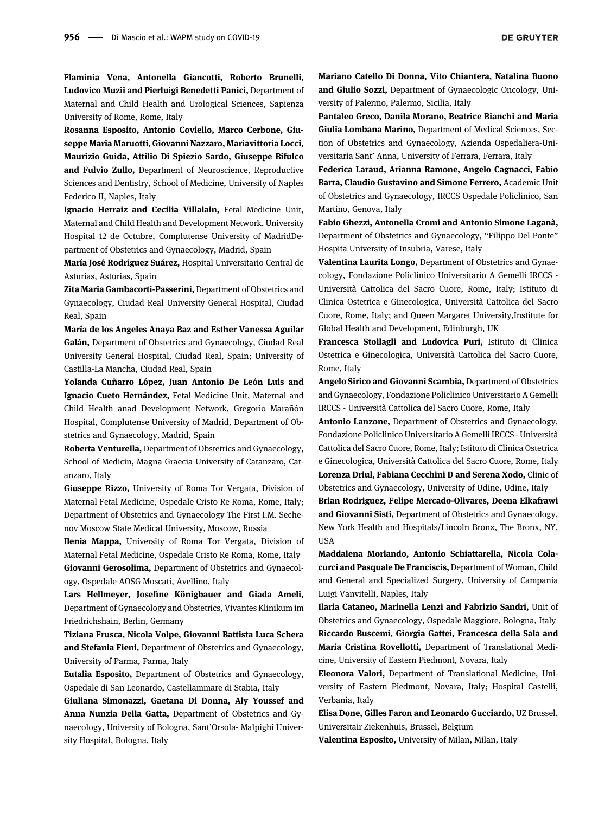**DE GRUYTER** 

Flaminia Vena, Antonella Giancotti, Roberto Brunelli, Ludovico Muzii and Pierluigi Benedetti Panici, Department of Maternal and Child Health and Urological Sciences, Sapienza University of Rome, Rome, Italy

Rosanna Esposito, Antonio Coviello, Marco Cerbone, Giuseppe Maria Maruotti, Giovanni Nazzaro, Mariavittoria Locci, Maurizio Guida, Attilio Di Spiezio Sardo, Giuseppe Bifulco and Fulvio Zullo, Department of Neuroscience, Reproductive Sciences and Dentistry, School of Medicine, University of Naples Federico II, Naples, Italy

Ignacio Herraiz and Cecilia Villalain, Fetal Medicine Unit, Maternal and Child Health and Development Network, University Hospital 12 de Octubre, Complutense University of MadridDepartment of Obstetrics and Gynaecology, Madrid, Spain

María José Rodríguez Suárez, Hospital Universitario Central de Asturias, Asturias, Spain

Zita Maria Gambacorti-Passerini, Department of Obstetrics and Gynaecology, Ciudad Real University General Hospital, Ciudad Real, Spain

María de los Angeles Anaya Baz and Esther Vanessa Aguilar Galán, Department of Obstetrics and Gynaecology, Ciudad Real University General Hospital, Ciudad Real, Spain; University of Castilla-La Mancha, Ciudad Real, Spain

Yolanda Cuñarro López, Juan Antonio De León Luis and Ignacio Cueto Hernández, Fetal Medicine Unit, Maternal and Child Health anad Development Network, Gregorio Marañón Hospital, Complutense University of Madrid, Department of Obstetrics and Gynaecology, Madrid, Spain

Roberta Venturella, Department of Obstetrics and Gynaecology, School of Medicin, Magna Graecia University of Catanzaro, Catanzaro, Italy

Giuseppe Rizzo, University of Roma Tor Vergata, Division of Maternal Fetal Medicine, Ospedale Cristo Re Roma, Rome, Italy; Department of Obstetrics and Gynaecology The First I.M. Sechenov Moscow State Medical University, Moscow, Russia

Ilenia Mappa, University of Roma Tor Vergata, Division of Maternal Fetal Medicine, Ospedale Cristo Re Roma, Rome, Italy Giovanni Gerosolima, Department of Obstetrics and Gynaecology, Ospedale AOSG Moscati, Avellino, Italy

Lars Hellmeyer, Josefine Königbauer and Giada Ameli, Department of Gynaecology and Obstetrics, Vivantes Klinikum im Friedrichshain, Berlin, Germany

Tiziana Frusca, Nicola Volpe, Giovanni Battista Luca Schera and Stefania Fieni, Department of Obstetrics and Gynaecology, University of Parma, Parma, Italy

Eutalia Esposito, Department of Obstetrics and Gynaecology, Ospedale di San Leonardo, Castellammare di Stabia, Italy

Giuliana Simonazzi, Gaetana Di Donna, Aly Youssef and Anna Nunzia Della Gatta, Department of Obstetrics and Gynaecology, University of Bologna, Sant'Orsola- Malpighi University Hospital, Bologna, Italy

Mariano Catello Di Donna, Vito Chiantera, Natalina Buono and Giulio Sozzi, Department of Gynaecologic Oncology, University of Palermo, Palermo, Sicilia, Italy

Pantaleo Greco, Danila Morano, Beatrice Bianchi and Maria Giulia Lombana Marino, Department of Medical Sciences, Section of Obstetrics and Gynaecology, Azienda Ospedaliera-Universitaria Sant' Anna, University of Ferrara, Ferrara, Italy

Federica Laraud, Arianna Ramone, Angelo Cagnacci, Fabio Barra, Claudio Gustavino and Simone Ferrero, Academic Unit of Obstetrics and Gynaecology, IRCCS Ospedale Policlinico, San Martino, Genova, Italy

Fabio Ghezzi, Antonella Cromi and Antonio Simone Laganà, Department of Obstetrics and Gynaecology, "Filippo Del Ponte" Hospita University of Insubria, Varese, Italy

Valentina Laurita Longo, Department of Obstetrics and Gynaecology, Fondazione Policlinico Universitario A Gemelli IRCCS - Università Cattolica del Sacro Cuore, Rome, Italy; Istituto di Clinica Ostetrica e Ginecologica, Università Cattolica del Sacro Cuore, Rome, Italy; and Queen Margaret University,Institute for Global Health and Development, Edinburgh, UK

Francesca Stollagli and Ludovica Puri, Istituto di Clinica Ostetrica e Ginecologica, Università Cattolica del Sacro Cuore, Rome, Italy

Angelo Sirico and Giovanni Scambia, Department of Obstetrics and Gynaecology, Fondazione Policlinico Universitario A Gemelli IRCCS - Università Cattolica del Sacro Cuore, Rome, Italy

Antonio Lanzone, Department of Obstetrics and Gynaecology, Fondazione Policlinico Universitario A Gemelli IRCCS - Università Cattolica del Sacro Cuore, Rome, Italy; Istituto di Clinica Ostetrica e Ginecologica, Università Cattolica del Sacro Cuore, Rome, Italy Lorenza Driul, Fabiana Cecchini D and Serena Xodo, Clinic of Obstetrics and Gynaecology, University of Udine, Udine, Italy

Brian Rodriguez, Felipe Mercado-Olivares, Deena Elkafrawi and Giovanni Sisti, Department of Obstetrics and Gynaecology, New York Health and Hospitals/Lincoln Bronx, The Bronx, NY, **IISA** 

Maddalena Morlando, Antonio Schiattarella, Nicola Colacurci and Pasquale De Franciscis, Department of Woman, Child and General and Specialized Surgery, University of Campania Luigi Vanvitelli, Naples, Italy

Ilaria Cataneo, Marinella Lenzi and Fabrizio Sandri, Unit of Obstetrics and Gynaecology, Ospedale Maggiore, Bologna, Italy Riccardo Buscemi, Giorgia Gattei, Francesca della Sala and Maria Cristina Rovellotti, Department of Translational Medicine, University of Eastern Piedmont, Novara, Italy

Eleonora Valori, Department of Translational Medicine, University of Eastern Piedmont, Novara, Italy; Hospital Castelli, Verbania, Italy

Elisa Done, Gilles Faron and Leonardo Gucciardo, UZ Brussel, Universitair Ziekenhuis, Brussel, Belgium

Valentina Esposito, University of Milan, Milan, Italy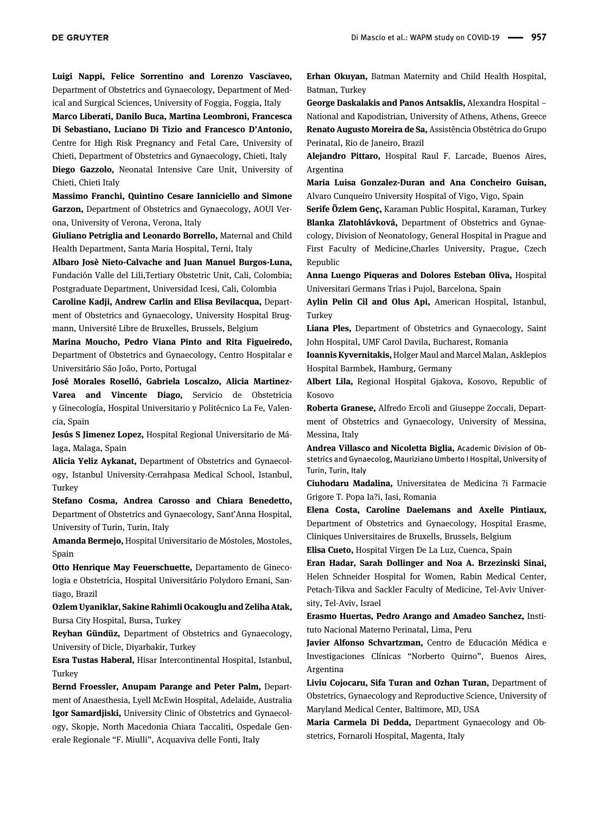Luigi Nappi, Felice Sorrentino and Lorenzo Vasciaveo, Department of Obstetrics and Gynaecology, Department of Medical and Surgical Sciences, University of Foggia, Foggia, Italy

Marco Liberati, Danilo Buca, Martina Leombroni, Francesca Di Sebastiano, Luciano Di Tizio and Francesco D'Antonio, Centre for High Risk Pregnancy and Fetal Care, University of Chieti, Department of Obstetrics and Gynaecology, Chieti, Italy Diego Gazzolo, Neonatal Intensive Care Unit, University of Chieti, Chieti Italy

Massimo Franchi, Quintino Cesare Ianniciello and Simone Garzon, Department of Obstetrics and Gynaecology, AOUI Verona, University of Verona, Verona, Italy

Giuliano Petriglia and Leonardo Borrello, Maternal and Child Health Department, Santa Maria Hospital, Terni, Italy

Albaro Josè Nieto-Calvache and Juan Manuel Burgos-Luna, Fundación Valle del Lili,Tertiary Obstetric Unit, Cali, Colombia; Postgraduate Department, Universidad Icesi, Cali, Colombia

Caroline Kadji, Andrew Carlin and Elisa Bevilacqua, Department of Obstetrics and Gynaecology, University Hospital Brugmann, Université Libre de Bruxelles, Brussels, Belgium

Marina Moucho, Pedro Viana Pinto and Rita Figueiredo, Department of Obstetrics and Gynaecology, Centro Hospitalar e Universitário São João, Porto, Portugal

José Morales Roselló, Gabriela Loscalzo, Alicia Martinez-Varea and Vincente Diago, Servicio de Obstetricia y Ginecología, Hospital Universitario y Politécnico La Fe, Valencia, Spain

Jesús S Jimenez Lopez, Hospital Regional Universitario de Málaga, Malaga, Spain

Alicia Yeliz Aykanat, Department of Obstetrics and Gynaecology, Istanbul University-Cerrahpasa Medical School, Istanbul, Turkey

Stefano Cosma, Andrea Carosso and Chiara Benedetto, Department of Obstetrics and Gynaecology, Sant'Anna Hospital, University of Turin, Turin, Italy

Amanda Bermejo, Hospital Universitario de Móstoles, Mostoles, Spain

Otto Henrique May Feuerschuette, Departamento de Ginecologia e Obstetrícia, Hospital Universitário Polydoro Ernani, Santiago, Brazil

Ozlem Uyaniklar, Sakine Rahimli Ocakouglu and Zeliha Atak, Bursa City Hospital, Bursa, Turkey

Reyhan Gündüz, Department of Obstetrics and Gynaecology, University of Dicle, Diyarbakir, Turkey

Esra Tustas Haberal, Hisar Intercontinental Hospital, Istanbul, Turkey

Bernd Froessler, Anupam Parange and Peter Palm, Department of Anaesthesia, Lyell McEwin Hospital, Adelaide, Australia Igor Samardjiski, University Clinic of Obstetrics and Gynaecology, Skopje, North Macedonia Chiara Taccaliti, Ospedale Generale Regionale "F. Miulli", Acquaviva delle Fonti, Italy

Erhan Okuyan, Batman Maternity and Child Health Hospital, Batman, Turkey

George Daskalakis and Panos Antsaklis, Alexandra Hospital – National and Kapodistrian, University of Athens, Athens, Greece Renato Augusto Moreira de Sa, Assistência Obstétrica do Grupo Perinatal, Rio de Janeiro, Brazil

Alejandro Pittaro, Hospital Raul F. Larcade, Buenos Aires, Argentina

Maria Luisa Gonzalez-Duran and Ana Concheiro Guisan, Alvaro Cunqueiro University Hospital of Vigo, Vigo, Spain

Serife Özlem Genc, Karaman Public Hospital, Karaman, Turkey Blanka Zlatohlávková, Department of Obstetrics and Gynaecology, Division of Neonatology, General Hospital in Prague and First Faculty of Medicine,Charles University, Prague, Czech Republic

Anna Luengo Piqueras and Dolores Esteban Oliva, Hospital Universitari Germans Trias i Pujol, Barcelona, Spain

Aylin Pelin Cil and Olus Api, American Hospital, Istanbul, Turkey

Liana Ples, Department of Obstetrics and Gynaecology, Saint John Hospital, UMF Carol Davila, Bucharest, Romania

Ioannis Kyvernitakis, Holger Maul and Marcel Malan, Asklepios Hospital Barmbek, Hamburg, Germany

Albert Lila, Regional Hospital Gjakova, Kosovo, Republic of Kosovo

Roberta Granese, Alfredo Ercoli and Giuseppe Zoccali, Department of Obstetrics and Gynaecology, University of Messina, Messina, Italy

Andrea Villasco and Nicoletta Biglia, Academic Division of Obstetrics and Gynaecolog, Mauriziano Umberto I Hospital, University of Turin, Turin, Italy

Ciuhodaru Madalina, Universitatea de Medicina ?i Farmacie Grigore T. Popa Ia?i, Iasi, Romania

Elena Costa, Caroline Daelemans and Axelle Pintiaux, Department of Obstetrics and Gynaecology, Hospital Erasme, Cliniques Universitaires de Bruxells, Brussels, Belgium

Elisa Cueto, Hospital Virgen De La Luz, Cuenca, Spain

Eran Hadar, Sarah Dollinger and Noa A. Brzezinski Sinai, Helen Schneider Hospital for Women, Rabin Medical Center, Petach-Tikva and Sackler Faculty of Medicine, Tel-Aviv University, Tel-Aviv, Israel

Erasmo Huertas, Pedro Arango and Amadeo Sanchez, Instituto Nacional Materno Perinatal, Lima, Peru

Javier Alfonso Schvartzman, Centro de Educación Médica e Investigaciones Clínicas "Norberto Quirno", Buenos Aires, Argentina

Liviu Cojocaru, Sifa Turan and Ozhan Turan, Department of Obstetrics, Gynaecology and Reproductive Science, University of Maryland Medical Center, Baltimore, MD, USA

Maria Carmela Di Dedda, Department Gynaecology and Obstetrics, Fornaroli Hospital, Magenta, Italy